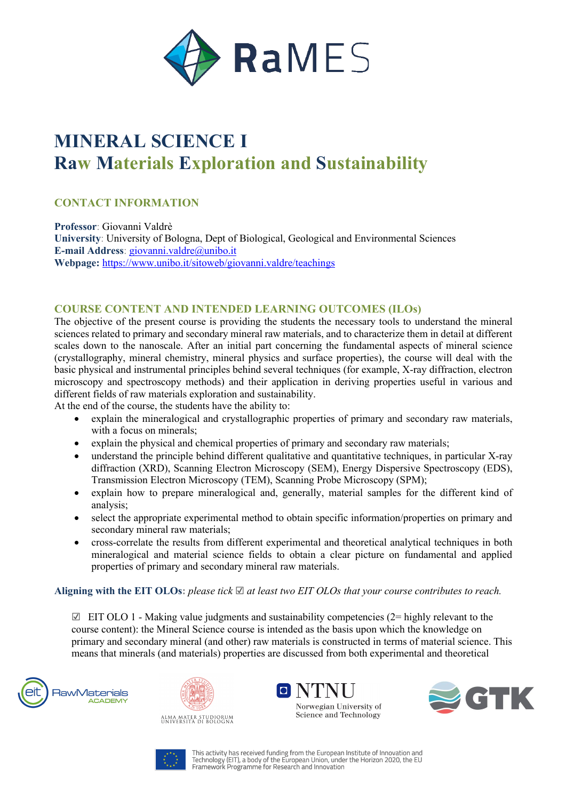

# **MINERAL SCIENCE I Raw Materials Exploration and Sustainability**

## **CONTACT INFORMATION**

**Professor**: Giovanni Valdrè **University**: University of Bologna, Dept of Biological, Geological and Environmental Sciences **E-mail Address**: giovanni.valdre@unibo.it **Webpage:** https://www.unibo.it/sitoweb/giovanni.valdre/teachings

### **COURSE CONTENT AND INTENDED LEARNING OUTCOMES (ILOs)**

The objective of the present course is providing the students the necessary tools to understand the mineral sciences related to primary and secondary mineral raw materials, and to characterize them in detail at different scales down to the nanoscale. After an initial part concerning the fundamental aspects of mineral science (crystallography, mineral chemistry, mineral physics and surface properties), the course will deal with the basic physical and instrumental principles behind several techniques (for example, X-ray diffraction, electron microscopy and spectroscopy methods) and their application in deriving properties useful in various and different fields of raw materials exploration and sustainability.

At the end of the course, the students have the ability to:

- explain the mineralogical and crystallographic properties of primary and secondary raw materials, with a focus on minerals;
- explain the physical and chemical properties of primary and secondary raw materials;
- understand the principle behind different qualitative and quantitative techniques, in particular X-ray diffraction (XRD), Scanning Electron Microscopy (SEM), Energy Dispersive Spectroscopy (EDS), Transmission Electron Microscopy (TEM), Scanning Probe Microscopy (SPM);
- explain how to prepare mineralogical and, generally, material samples for the different kind of analysis;
- select the appropriate experimental method to obtain specific information/properties on primary and secondary mineral raw materials;
- cross-correlate the results from different experimental and theoretical analytical techniques in both mineralogical and material science fields to obtain a clear picture on fundamental and applied properties of primary and secondary mineral raw materials.

**Aligning with the EIT OLOs:** *please tick* ☑ *at least two EIT OLOs that your course contributes to reach.*

 $\boxtimes$  EIT OLO 1 - Making value judgments and sustainability competencies (2= highly relevant to the course content): the Mineral Science course is intended as the basis upon which the knowledge on primary and secondary mineral (and other) raw materials is constructed in terms of material science. This means that minerals (and materials) properties are discussed from both experimental and theoretical









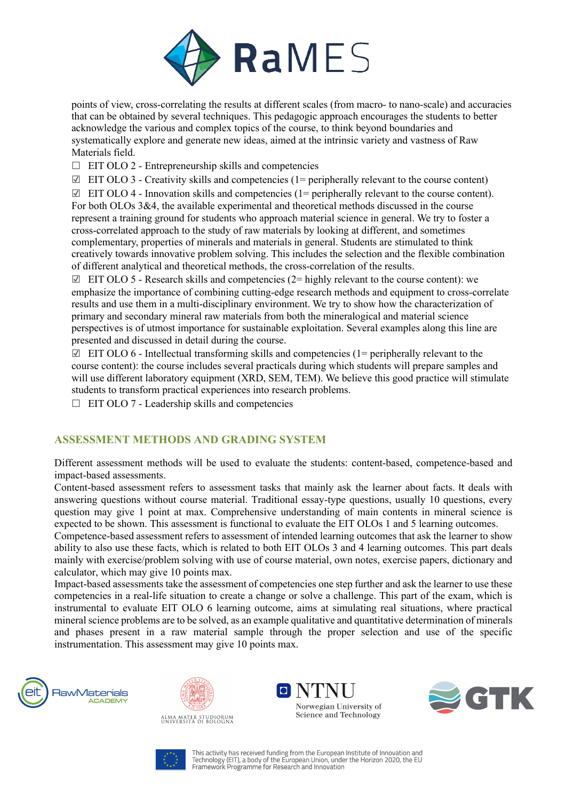

points of view, cross-correlating the results at different scales (from macro- to nano-scale) and accuracies that can be obtained by several techniques. This pedagogic approach encourages the students to better acknowledge the various and complex topics of the course, to think beyond boundaries and systematically explore and generate new ideas, aimed at the intrinsic variety and vastness of Raw Materials field.

- $\Box$  EIT OLO 2 Entrepreneurship skills and competencies
- $\boxtimes$  EIT OLO 3 Creativity skills and competencies (1= peripherally relevant to the course content)
- $\boxtimes$  EIT OLO 4 Innovation skills and competencies (1= peripherally relevant to the course content). For both OLOs 3&4, the available experimental and theoretical methods discussed in the course

represent a training ground for students who approach material science in general. We try to foster a cross-correlated approach to the study of raw materials by looking at different, and sometimes complementary, properties of minerals and materials in general. Students are stimulated to think creatively towards innovative problem solving. This includes the selection and the flexible combination of different analytical and theoretical methods, the cross-correlation of the results.

 $\boxtimes$  EIT OLO 5 - Research skills and competencies (2= highly relevant to the course content): we emphasize the importance of combining cutting-edge research methods and equipment to cross-correlate results and use them in a multi-disciplinary environment. We try to show how the characterization of primary and secondary mineral raw materials from both the mineralogical and material science perspectives is of utmost importance for sustainable exploitation. Several examples along this line are presented and discussed in detail during the course.

 $\boxtimes$  EIT OLO 6 - Intellectual transforming skills and competencies (1= peripherally relevant to the course content): the course includes several practicals during which students will prepare samples and will use different laboratory equipment (XRD, SEM, TEM). We believe this good practice will stimulate students to transform practical experiences into research problems.

 $\Box$  EIT OLO 7 - Leadership skills and competencies

### **ASSESSMENT METHODS AND GRADING SYSTEM**

Different assessment methods will be used to evaluate the students: content-based, competence-based and impact-based assessments.

Content-based assessment refers to assessment tasks that mainly ask the learner about facts. It deals with answering questions without course material. Traditional essay-type questions, usually 10 questions, every question may give 1 point at max. Comprehensive understanding of main contents in mineral science is expected to be shown. This assessment is functional to evaluate the EIT OLOs 1 and 5 learning outcomes.

Competence-based assessment refers to assessment of intended learning outcomes that ask the learner to show ability to also use these facts, which is related to both EIT OLOs 3 and 4 learning outcomes. This part deals mainly with exercise/problem solving with use of course material, own notes, exercise papers, dictionary and calculator, which may give 10 points max.

Impact-based assessments take the assessment of competencies one step further and ask the learner to use these competencies in a real-life situation to create a change or solve a challenge. This part of the exam, which is instrumental to evaluate EIT OLO 6 learning outcome, aims at simulating real situations, where practical mineral science problems are to be solved, as an example qualitative and quantitative determination of minerals and phases present in a raw material sample through the proper selection and use of the specific instrumentation. This assessment may give 10 points max.











This activity has received funding from the European Institute of Innovation and This activity has received from the minimum in the Language of Information and<br>Technology (EIT), a body of the European Union, under the Horizon 2020, the EU<br>Framework Programme for Research and Innovation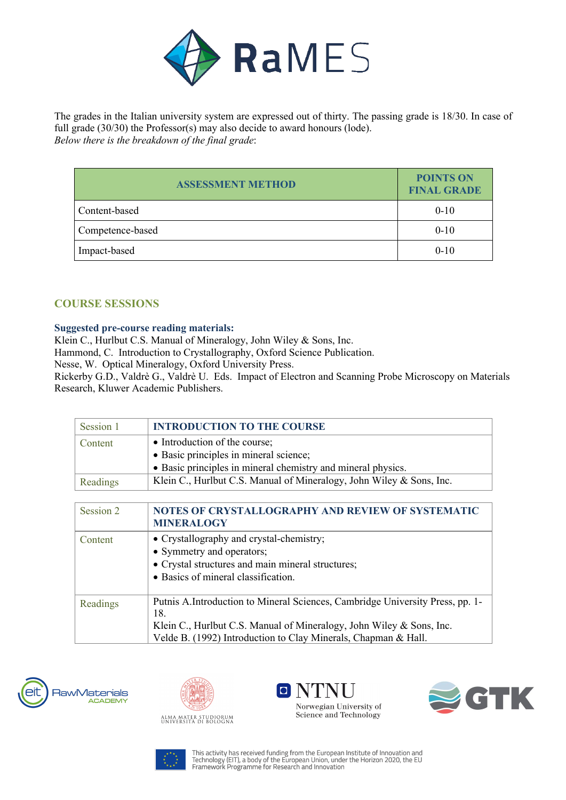

The grades in the Italian university system are expressed out of thirty. The passing grade is 18/30. In case of full grade (30/30) the Professor(s) may also decide to award honours (lode). *Below there is the breakdown of the final grade*:

| <b>ASSESSMENT METHOD</b> | <b>POINTS ON</b><br><b>FINAL GRADE</b> |
|--------------------------|----------------------------------------|
| Content-based            | $0 - 10$                               |
| Competence-based         | $0 - 10$                               |
| Impact-based             | $0 - 10$                               |

## **COURSE SESSIONS**

#### **Suggested pre-course reading materials:**

Klein C., Hurlbut C.S. Manual of Mineralogy, John Wiley & Sons, Inc.

Hammond, C. Introduction to Crystallography, Oxford Science Publication.

Nesse, W. Optical Mineralogy, Oxford University Press.

Rickerby G.D., Valdrè G., Valdrè U. Eds. Impact of Electron and Scanning Probe Microscopy on Materials Research, Kluwer Academic Publishers.

| Session 1 | <b>INTRODUCTION TO THE COURSE</b>                                      |
|-----------|------------------------------------------------------------------------|
| Content   | • Introduction of the course;                                          |
|           | · Basic principles in mineral science;                                 |
|           | • Basic principles in mineral chemistry and mineral physics.           |
| Readings  | Klein C., Hurlbut C.S. Manual of Mineralogy, John Wiley & Sons, Inc.   |
|           |                                                                        |
| Session 2 | NOTES OF CRYSTALLOGRAPHY AND REVIEW OF SYSTEMATIC<br><b>MINERALOGY</b> |
| Content   | • Crystallography and crystal-chemistry;                               |
|           | • Symmetry and operators;                                              |
|           | • Crystal structures and main mineral structures;                      |
|           | • Basics of mineral classification.                                    |

| Readings | Putnis A.Introduction to Mineral Sciences, Cambridge University Press, pp. 1- |
|----------|-------------------------------------------------------------------------------|
|          | 18.                                                                           |
|          | Klein C., Hurlbut C.S. Manual of Mineralogy, John Wiley & Sons, Inc.          |
|          | Velde B. (1992) Introduction to Clay Minerals, Chapman & Hall.                |









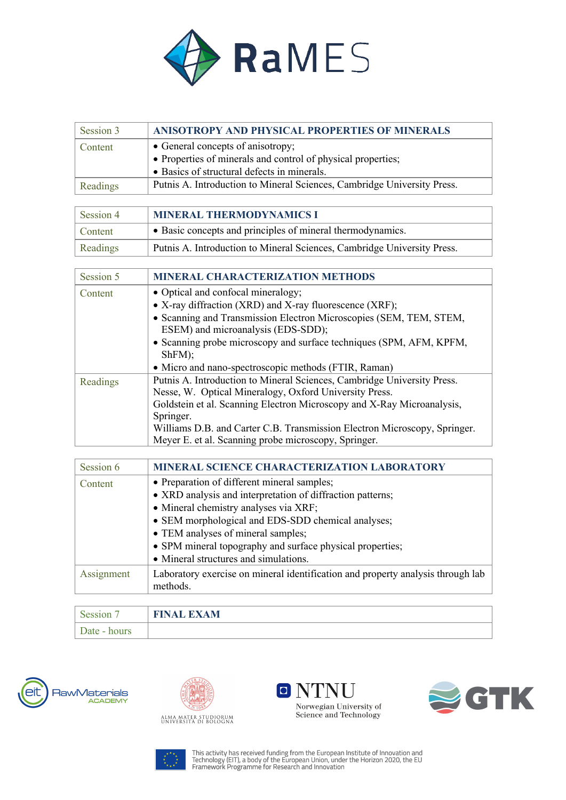

| Session 3 | ANISOTROPY AND PHYSICAL PROPERTIES OF MINERALS                          |
|-----------|-------------------------------------------------------------------------|
| Content   | • General concepts of anisotropy;                                       |
|           | • Properties of minerals and control of physical properties;            |
|           | • Basics of structural defects in minerals.                             |
| Readings  | Putnis A. Introduction to Mineral Sciences, Cambridge University Press. |

| Session 4 | <b>MINERAL THERMODYNAMICS I</b>                                         |
|-----------|-------------------------------------------------------------------------|
| Content   | • Basic concepts and principles of mineral thermodynamics.              |
| Readings  | Putnis A. Introduction to Mineral Sciences, Cambridge University Press. |

| Session 5 | <b>MINERAL CHARACTERIZATION METHODS</b>                                   |
|-----------|---------------------------------------------------------------------------|
| Content   | • Optical and confocal mineralogy;                                        |
|           | • X-ray diffraction (XRD) and X-ray fluorescence (XRF);                   |
|           | • Scanning and Transmission Electron Microscopies (SEM, TEM, STEM,        |
|           | ESEM) and microanalysis (EDS-SDD);                                        |
|           | • Scanning probe microscopy and surface techniques (SPM, AFM, KPFM,       |
|           | ShFM);                                                                    |
|           | • Micro and nano-spectroscopic methods (FTIR, Raman)                      |
| Readings  | Putnis A. Introduction to Mineral Sciences, Cambridge University Press.   |
|           | Nesse, W. Optical Mineralogy, Oxford University Press.                    |
|           | Goldstein et al. Scanning Electron Microscopy and X-Ray Microanalysis,    |
|           | Springer.                                                                 |
|           | Williams D.B. and Carter C.B. Transmission Electron Microscopy, Springer. |
|           | Meyer E. et al. Scanning probe microscopy, Springer.                      |

| Session 6  | <b>MINERAL SCIENCE CHARACTERIZATION LABORATORY</b>                              |
|------------|---------------------------------------------------------------------------------|
| Content    | • Preparation of different mineral samples;                                     |
|            | • XRD analysis and interpretation of diffraction patterns;                      |
|            | • Mineral chemistry analyses via XRF;                                           |
|            | • SEM morphological and EDS-SDD chemical analyses;                              |
|            | • TEM analyses of mineral samples;                                              |
|            | • SPM mineral topography and surface physical properties;                       |
|            | • Mineral structures and simulations.                                           |
| Assignment | Laboratory exercise on mineral identification and property analysis through lab |
|            | methods.                                                                        |

| Session <sup>1</sup> | <b>FINAL EXAM</b> |
|----------------------|-------------------|
| Date - hours         |                   |











This activity has received funding from the European Institute of Innovation and<br>Technology (EIT), a body of the European Union, under the Horizon 2020, the EU<br>Framework Programme for Research and Innovation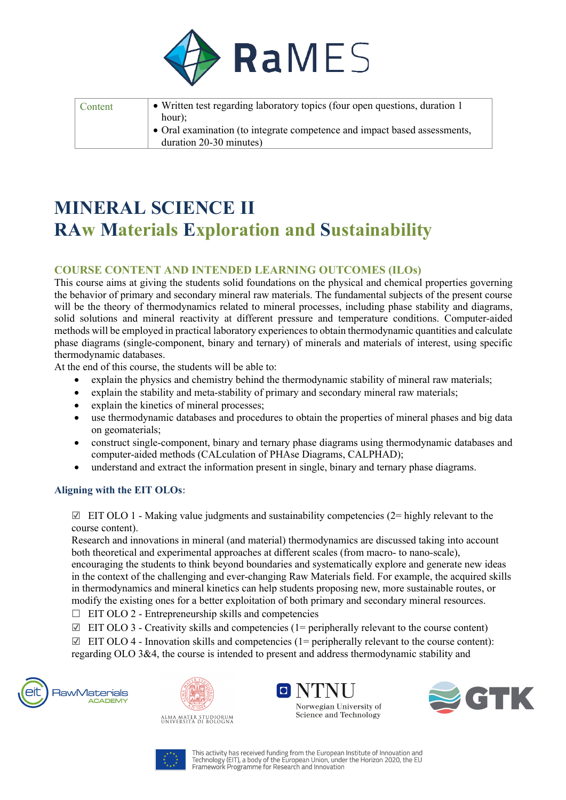

| Content | • Written test regarding laboratory topics (four open questions, duration 1)<br>hour);               |
|---------|------------------------------------------------------------------------------------------------------|
|         | • Oral examination (to integrate competence and impact based assessments,<br>duration 20-30 minutes) |

## **MINERAL SCIENCE II RAw Materials Exploration and Sustainability**

## **COURSE CONTENT AND INTENDED LEARNING OUTCOMES (ILOs)**

This course aims at giving the students solid foundations on the physical and chemical properties governing the behavior of primary and secondary mineral raw materials. The fundamental subjects of the present course will be the theory of thermodynamics related to mineral processes, including phase stability and diagrams, solid solutions and mineral reactivity at different pressure and temperature conditions. Computer-aided methods will be employed in practical laboratory experiences to obtain thermodynamic quantities and calculate phase diagrams (single-component, binary and ternary) of minerals and materials of interest, using specific thermodynamic databases.

At the end of this course, the students will be able to:

- explain the physics and chemistry behind the thermodynamic stability of mineral raw materials;
- explain the stability and meta-stability of primary and secondary mineral raw materials;
- explain the kinetics of mineral processes;
- use thermodynamic databases and procedures to obtain the properties of mineral phases and big data on geomaterials;
- construct single-component, binary and ternary phase diagrams using thermodynamic databases and computer-aided methods (CALculation of PHAse Diagrams, CALPHAD);
- understand and extract the information present in single, binary and ternary phase diagrams.

### **Aligning with the EIT OLOs:**

 $\boxtimes$  EIT OLO 1 - Making value judgments and sustainability competencies (2= highly relevant to the course content).

Research and innovations in mineral (and material) thermodynamics are discussed taking into account both theoretical and experimental approaches at different scales (from macro- to nano-scale), encouraging the students to think beyond boundaries and systematically explore and generate new ideas in the context of the challenging and ever-changing Raw Materials field. For example, the acquired skills in thermodynamics and mineral kinetics can help students proposing new, more sustainable routes, or modify the existing ones for a better exploitation of both primary and secondary mineral resources.

- $\Box$  EIT OLO 2 Entrepreneurship skills and competencies
- $\boxtimes$  EIT OLO 3 Creativity skills and competencies (1= peripherally relevant to the course content)

 $\boxtimes$  EIT OLO 4 - Innovation skills and competencies (1= peripherally relevant to the course content): regarding OLO 3&4, the course is intended to present and address thermodynamic stability and











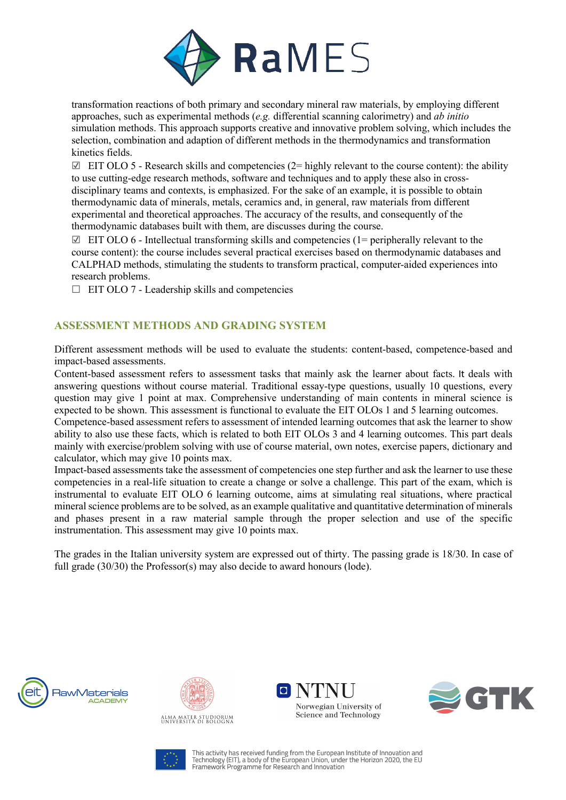

transformation reactions of both primary and secondary mineral raw materials, by employing different approaches, such as experimental methods (*e.g.* differential scanning calorimetry) and *ab initio*  simulation methods. This approach supports creative and innovative problem solving, which includes the selection, combination and adaption of different methods in the thermodynamics and transformation kinetics fields.

 $\Box$  EIT OLO 5 - Research skills and competencies (2= highly relevant to the course content): the ability to use cutting-edge research methods, software and techniques and to apply these also in crossdisciplinary teams and contexts, is emphasized. For the sake of an example, it is possible to obtain thermodynamic data of minerals, metals, ceramics and, in general, raw materials from different experimental and theoretical approaches. The accuracy of the results, and consequently of the thermodynamic databases built with them, are discusses during the course.

 $\boxtimes$  EIT OLO 6 - Intellectual transforming skills and competencies (1= peripherally relevant to the course content): the course includes several practical exercises based on thermodynamic databases and CALPHAD methods, stimulating the students to transform practical, computer-aided experiences into research problems.

 $\Box$  EIT OLO 7 - Leadership skills and competencies

## **ASSESSMENT METHODS AND GRADING SYSTEM**

Different assessment methods will be used to evaluate the students: content-based, competence-based and impact-based assessments.

Content-based assessment refers to assessment tasks that mainly ask the learner about facts. It deals with answering questions without course material. Traditional essay-type questions, usually 10 questions, every question may give 1 point at max. Comprehensive understanding of main contents in mineral science is expected to be shown. This assessment is functional to evaluate the EIT OLOs 1 and 5 learning outcomes.

Competence-based assessment refers to assessment of intended learning outcomes that ask the learner to show ability to also use these facts, which is related to both EIT OLOs 3 and 4 learning outcomes. This part deals mainly with exercise/problem solving with use of course material, own notes, exercise papers, dictionary and calculator, which may give 10 points max.

Impact-based assessments take the assessment of competencies one step further and ask the learner to use these competencies in a real-life situation to create a change or solve a challenge. This part of the exam, which is instrumental to evaluate EIT OLO 6 learning outcome, aims at simulating real situations, where practical mineral science problems are to be solved, as an example qualitative and quantitative determination of minerals and phases present in a raw material sample through the proper selection and use of the specific instrumentation. This assessment may give 10 points max.

The grades in the Italian university system are expressed out of thirty. The passing grade is 18/30. In case of full grade (30/30) the Professor(s) may also decide to award honours (lode).











This activity has received funding from the European Institute of Innovation and This activity has received from the minimum in the Language of Information and<br>Technology (EIT), a body of the European Union, under the Horizon 2020, the EU<br>Framework Programme for Research and Innovation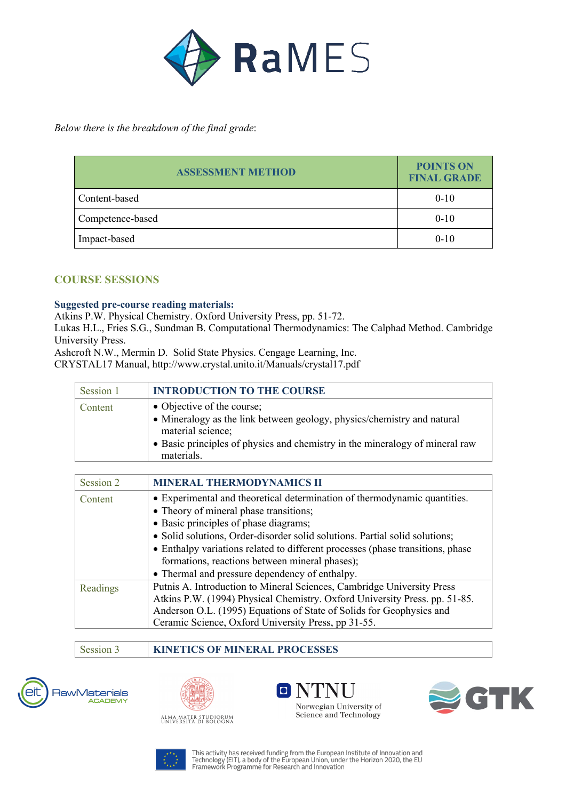

*Below there is the breakdown of the final grade*:

| <b>ASSESSMENT METHOD</b> | <b>POINTS ON</b><br><b>FINAL GRADE</b> |
|--------------------------|----------------------------------------|
| Content-based            | $0 - 10$                               |
| Competence-based         | $0 - 10$                               |
| Impact-based             | $0 - 10$                               |

## **COURSE SESSIONS**

### **Suggested pre-course reading materials:**

Atkins P.W. Physical Chemistry. Oxford University Press, pp. 51-72.

Lukas H.L., Fries S.G., Sundman B. Computational Thermodynamics: The Calphad Method. Cambridge University Press.

Ashcroft N.W., Mermin D. Solid State Physics. Cengage Learning, Inc.

CRYSTAL17 Manual, http://www.crystal.unito.it/Manuals/crystal17.pdf

| Session 1 | <b>INTRODUCTION TO THE COURSE</b>                                                                                                                                                                                        |
|-----------|--------------------------------------------------------------------------------------------------------------------------------------------------------------------------------------------------------------------------|
| Content   | • Objective of the course;<br>• Mineralogy as the link between geology, physics/chemistry and natural<br>material science;<br>• Basic principles of physics and chemistry in the mineralogy of mineral raw<br>materials. |

| Session 2 | <b>MINERAL THERMODYNAMICS II</b>                                               |
|-----------|--------------------------------------------------------------------------------|
| Content   | • Experimental and theoretical determination of thermodynamic quantities.      |
|           | • Theory of mineral phase transitions;                                         |
|           | • Basic principles of phase diagrams;                                          |
|           | • Solid solutions, Order-disorder solid solutions. Partial solid solutions;    |
|           | • Enthalpy variations related to different processes (phase transitions, phase |
|           | formations, reactions between mineral phases);                                 |
|           | • Thermal and pressure dependency of enthalpy.                                 |
| Readings  | Putnis A. Introduction to Mineral Sciences, Cambridge University Press         |
|           | Atkins P.W. (1994) Physical Chemistry. Oxford University Press. pp. 51-85.     |
|           | Anderson O.L. (1995) Equations of State of Solids for Geophysics and           |
|           | Ceramic Science, Oxford University Press, pp 31-55.                            |

Session 3 **KINETICS OF MINERAL PROCESSES**